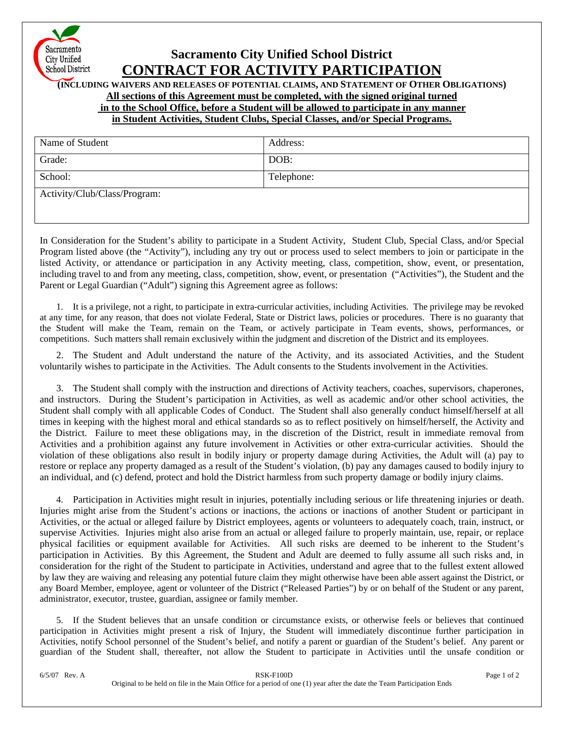

## **Sacramento City Unified School District CONTRACT FOR ACTIVITY PARTICIPATION**

**(INCLUDING WAIVERS AND RELEASES OF POTENTIAL CLAIMS, AND STATEMENT OF OTHER OBLIGATIONS)** 

**All sections of this Agreement must be completed, with the signed original turned**

 **in to the School Office, before a Student will be allowed to participate in any manner**

**in Student Activities, Student Clubs, Special Classes, and/or Special Programs.**

| Name of Student              | Address:   |
|------------------------------|------------|
| Grade:                       | DOB:       |
| School:                      | Telephone: |
| Activity/Club/Class/Program: |            |

In Consideration for the Student's ability to participate in a Student Activity, Student Club, Special Class, and/or Special Program listed above (the "Activity"), including any try out or process used to select members to join or participate in the listed Activity, or attendance or participation in any Activity meeting, class, competition, show, event, or presentation, including travel to and from any meeting, class, competition, show, event, or presentation ("Activities"), the Student and the Parent or Legal Guardian ("Adult") signing this Agreement agree as follows:

1. It is a privilege, not a right, to participate in extra-curricular activities, including Activities. The privilege may be revoked at any time, for any reason, that does not violate Federal, State or District laws, policies or procedures. There is no guaranty that the Student will make the Team, remain on the Team, or actively participate in Team events, shows, performances, or competitions. Such matters shall remain exclusively within the judgment and discretion of the District and its employees.

2. The Student and Adult understand the nature of the Activity, and its associated Activities, and the Student voluntarily wishes to participate in the Activities. The Adult consents to the Students involvement in the Activities.

3. The Student shall comply with the instruction and directions of Activity teachers, coaches, supervisors, chaperones, and instructors. During the Student's participation in Activities, as well as academic and/or other school activities, the Student shall comply with all applicable Codes of Conduct. The Student shall also generally conduct himself/herself at all times in keeping with the highest moral and ethical standards so as to reflect positively on himself/herself, the Activity and the District. Failure to meet these obligations may, in the discretion of the District, result in immediate removal from Activities and a prohibition against any future involvement in Activities or other extra-curricular activities. Should the violation of these obligations also result in bodily injury or property damage during Activities, the Adult will (a) pay to restore or replace any property damaged as a result of the Student's violation, (b) pay any damages caused to bodily injury to an individual, and (c) defend, protect and hold the District harmless from such property damage or bodily injury claims.

4. Participation in Activities might result in injuries, potentially including serious or life threatening injuries or death. Injuries might arise from the Student's actions or inactions, the actions or inactions of another Student or participant in Activities, or the actual or alleged failure by District employees, agents or volunteers to adequately coach, train, instruct, or supervise Activities. Injuries might also arise from an actual or alleged failure to properly maintain, use, repair, or replace physical facilities or equipment available for Activities. All such risks are deemed to be inherent to the Student's participation in Activities. By this Agreement, the Student and Adult are deemed to fully assume all such risks and, in consideration for the right of the Student to participate in Activities, understand and agree that to the fullest extent allowed by law they are waiving and releasing any potential future claim they might otherwise have been able assert against the District, or any Board Member, employee, agent or volunteer of the District ("Released Parties") by or on behalf of the Student or any parent, administrator, executor, trustee, guardian, assignee or family member.

5. If the Student believes that an unsafe condition or circumstance exists, or otherwise feels or believes that continued participation in Activities might present a risk of Injury, the Student will immediately discontinue further participation in Activities, notify School personnel of the Student's belief, and notify a parent or guardian of the Student's belief. Any parent or guardian of the Student shall, thereafter, not allow the Student to participate in Activities until the unsafe condition or